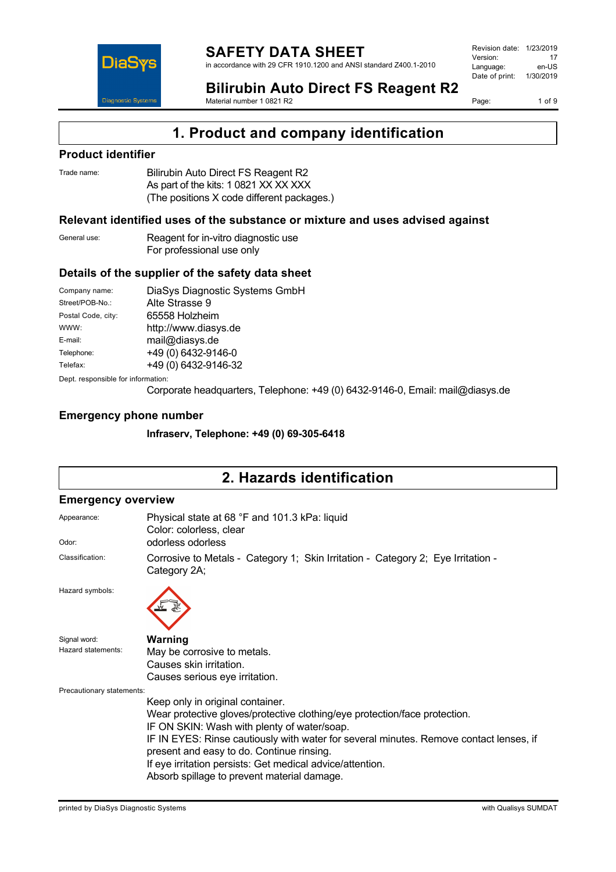

**Bilirubin Auto Direct FS Reagent R2** Material number 1 0821 R2

Page: 1 of 9

## **1. Product and company identification**

### **Product identifier**

| Trade name: | Bilirubin Auto Direct FS Reagent R2        |
|-------------|--------------------------------------------|
|             | As part of the kits: 1 0821 XX XX XXX      |
|             | (The positions X code different packages.) |

### **Relevant identified uses of the substance or mixture and uses advised against**

| General use: | Reagent for in-vitro diagnostic use |
|--------------|-------------------------------------|
|              | For professional use only           |

### **Details of the supplier of the safety data sheet**

| Company name:                      | DiaSys Diagnostic Systems GmbH |
|------------------------------------|--------------------------------|
| Street/POB-No.:                    | Alte Strasse 9                 |
| Postal Code, city:                 | 65558 Holzheim                 |
| WWW:                               | http://www.diasys.de           |
| E-mail:                            | mail@diasys.de                 |
| Telephone:                         | +49 (0) 6432-9146-0            |
| Telefax:                           | +49 (0) 6432-9146-32           |
| Dept. responsible for information: |                                |

Corporate headquarters, Telephone: +49 (0) 6432-9146-0, Email: mail@diasys.de

### **Emergency phone number**

**Infraserv, Telephone: +49 (0) 69-305-6418**

# **2. Hazards identification**

### **Emergency overview**

| Appearance:               | Physical state at 68 °F and 101.3 kPa: liquid<br>Color: colorless, clear                         |  |  |
|---------------------------|--------------------------------------------------------------------------------------------------|--|--|
| Odor:                     | odorless odorless                                                                                |  |  |
| Classification:           | Corrosive to Metals - Category 1; Skin Irritation - Category 2; Eye Irritation -<br>Category 2A; |  |  |
| Hazard symbols:           |                                                                                                  |  |  |
| Signal word:              | Warning                                                                                          |  |  |
| Hazard statements:        | May be corrosive to metals.                                                                      |  |  |
|                           | Causes skin irritation.                                                                          |  |  |
|                           | Causes serious eye irritation.                                                                   |  |  |
| Precautionary statements: |                                                                                                  |  |  |
|                           | Keep only in original container.                                                                 |  |  |
|                           | Wear protective gloves/protective clothing/eye protection/face protection.                       |  |  |
|                           | IF ON SKIN: Wash with plenty of water/soap.                                                      |  |  |
|                           | IF IN EYES: Rinse cautiously with water for several minutes. Remove contact lenses, if           |  |  |
|                           | present and easy to do. Continue rinsing.                                                        |  |  |
|                           | If eye irritation persists: Get medical advice/attention.                                        |  |  |
|                           | Absorb spillage to prevent material damage.                                                      |  |  |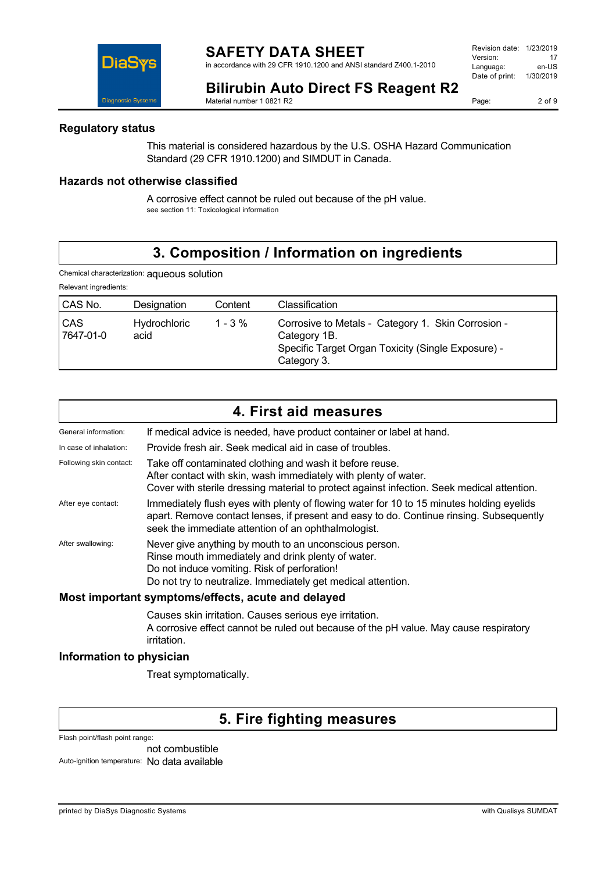in accordance with 29 CFR 1910.1200 and ANSI standard Z400.1-2010

| Revision date: | 1/23/2019 |
|----------------|-----------|
| Version:       | 17        |
| Language:      | en-US     |
| Date of print: | 1/30/2019 |
|                |           |

**DiaS** Diagnostic System:

**Bilirubin Auto Direct FS Reagent R2** Material number 1 0821 R2

Page: 2 of 9

### **Regulatory status**

This material is considered hazardous by the U.S. OSHA Hazard Communication Standard (29 CFR 1910.1200) and SIMDUT in Canada.

### **Hazards not otherwise classified**

A corrosive effect cannot be ruled out because of the pH value. see section 11: Toxicological information

## **3. Composition / Information on ingredients**

Chemical characterization: aqueous solution

| Relevant ingredients:   |                             |            |                                                                                                                                         |
|-------------------------|-----------------------------|------------|-----------------------------------------------------------------------------------------------------------------------------------------|
| CAS No.                 | Designation                 | Content    | Classification                                                                                                                          |
| <b>CAS</b><br>7647-01-0 | <b>Hydrochloric</b><br>acid | $1 - 3 \%$ | Corrosive to Metals - Category 1. Skin Corrosion -<br>Category 1B.<br>Specific Target Organ Toxicity (Single Exposure) -<br>Category 3. |

|                                                    | 4. First aid measures                                                                                                                                                                                                                      |  |
|----------------------------------------------------|--------------------------------------------------------------------------------------------------------------------------------------------------------------------------------------------------------------------------------------------|--|
| General information:                               | If medical advice is needed, have product container or label at hand.                                                                                                                                                                      |  |
| In case of inhalation:                             | Provide fresh air. Seek medical aid in case of troubles.                                                                                                                                                                                   |  |
| Following skin contact:                            | Take off contaminated clothing and wash it before reuse.<br>After contact with skin, wash immediately with plenty of water.<br>Cover with sterile dressing material to protect against infection. Seek medical attention.                  |  |
| After eye contact:                                 | Immediately flush eyes with plenty of flowing water for 10 to 15 minutes holding eyelids<br>apart. Remove contact lenses, if present and easy to do. Continue rinsing. Subsequently<br>seek the immediate attention of an ophthalmologist. |  |
| After swallowing:                                  | Never give anything by mouth to an unconscious person.<br>Rinse mouth immediately and drink plenty of water.<br>Do not induce vomiting. Risk of perforation!<br>Do not try to neutralize. Immediately get medical attention.               |  |
| Most important symptoms/effects, acute and delayed |                                                                                                                                                                                                                                            |  |
|                                                    |                                                                                                                                                                                                                                            |  |

Causes skin irritation. Causes serious eye irritation. A corrosive effect cannot be ruled out because of the pH value. May cause respiratory irritation.

### **Information to physician**

Treat symptomatically.

## **5. Fire fighting measures**

Flash point/flash point range:

not combustible Auto-ignition temperature: No data available

printed by DiaSys Diagnostic Systems with Qualisys SUMDAT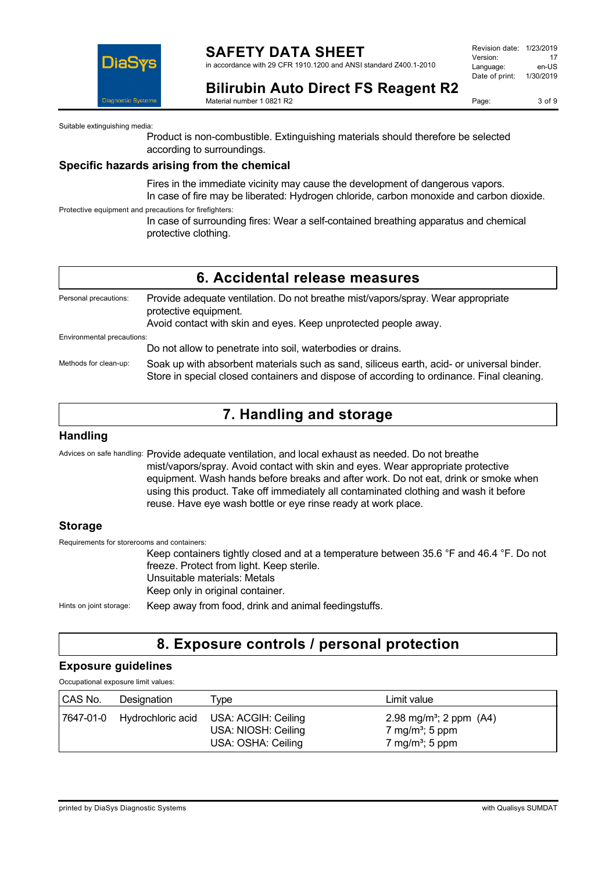

### **SAFETY DATA SHEET** in accordance with 29 CFR 1910.1200 and ANSI standard Z400.1-2010

Revision date: 1/23/2019 Version: 17<br>Language: en-LIS Language: Date of print: 1/30/2019

**Bilirubin Auto Direct FS Reagent R2** Material number 1 0821 R2

Page: 3 of 9

Suitable extinguishing media:

Product is non-combustible. Extinguishing materials should therefore be selected according to surroundings.

### **Specific hazards arising from the chemical**

Fires in the immediate vicinity may cause the development of dangerous vapors. In case of fire may be liberated: Hydrogen chloride, carbon monoxide and carbon dioxide.

Protective equipment and precautions for firefighters:

In case of surrounding fires: Wear a self-contained breathing apparatus and chemical protective clothing.

|                            | 6. Accidental release measures                                                                                                                                                         |
|----------------------------|----------------------------------------------------------------------------------------------------------------------------------------------------------------------------------------|
| Personal precautions:      | Provide adequate ventilation. Do not breathe mist/vapors/spray. Wear appropriate<br>protective equipment.<br>Avoid contact with skin and eyes. Keep unprotected people away.           |
| Environmental precautions: |                                                                                                                                                                                        |
|                            | Do not allow to penetrate into soil, waterbodies or drains.                                                                                                                            |
| Methods for clean-up:      | Soak up with absorbent materials such as sand, siliceus earth, acid- or universal binder.<br>Store in special closed containers and dispose of according to ordinance. Final cleaning. |

## **7. Handling and storage**

### **Handling**

Advices on safe handling: Provide adequate ventilation, and local exhaust as needed. Do not breathe mist/vapors/spray. Avoid contact with skin and eyes. Wear appropriate protective equipment. Wash hands before breaks and after work. Do not eat, drink or smoke when using this product. Take off immediately all contaminated clothing and wash it before reuse. Have eye wash bottle or eye rinse ready at work place.

### **Storage**

Requirements for storerooms and containers: Keep containers tightly closed and at a temperature between 35.6 °F and 46.4 °F. Do not freeze. Protect from light. Keep sterile. Unsuitable materials: Metals Keep only in original container. Hints on joint storage: Keep away from food, drink and animal feedingstuffs.

## **8. Exposure controls / personal protection**

### **Exposure guidelines**

Occupational exposure limit values:

| CAS No. | Designation                 | l ype                                                            | Limit value                                                                                         |
|---------|-----------------------------|------------------------------------------------------------------|-----------------------------------------------------------------------------------------------------|
|         | 7647-01-0 Hydrochloric acid | USA: ACGIH: Ceiling<br>USA: NIOSH: Ceiling<br>USA: OSHA: Ceiling | 2.98 mg/m <sup>3</sup> ; 2 ppm $(A4)$<br>7 mg/m <sup>3</sup> ; 5 ppm<br>7 mg/m <sup>3</sup> ; 5 ppm |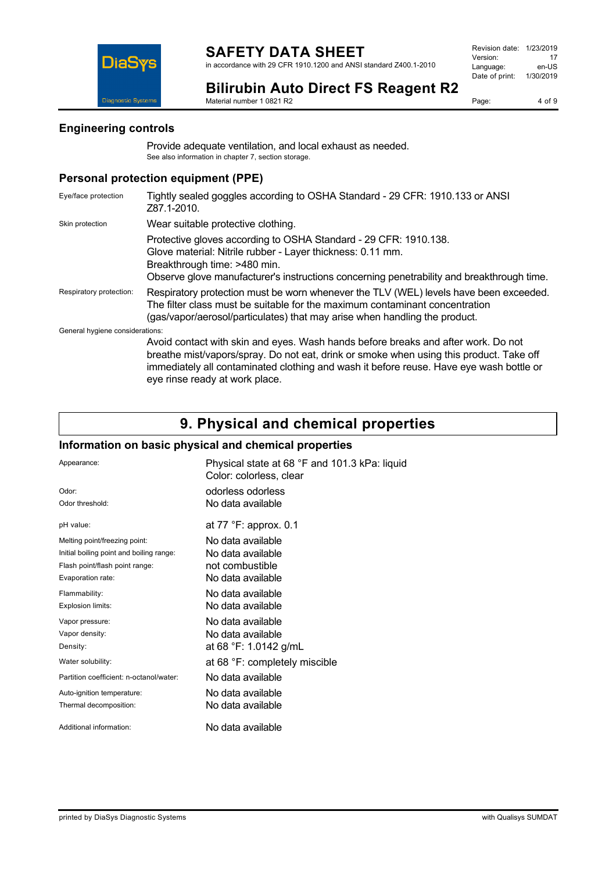

**Bilirubin Auto Direct FS Reagent R2** Material number 1 0821 R2

Page: 4 of 9

### **Engineering controls**

Provide adequate ventilation, and local exhaust as needed. See also information in chapter 7, section storage.

### **Personal protection equipment (PPE)**

| Eye/face protection             | Tightly sealed goggles according to OSHA Standard - 29 CFR: 1910.133 or ANSI<br>Z87.1-2010.                                                                                                                                                                                                               |  |
|---------------------------------|-----------------------------------------------------------------------------------------------------------------------------------------------------------------------------------------------------------------------------------------------------------------------------------------------------------|--|
| Skin protection                 | Wear suitable protective clothing.                                                                                                                                                                                                                                                                        |  |
|                                 | Protective gloves according to OSHA Standard - 29 CFR: 1910.138.<br>Glove material: Nitrile rubber - Layer thickness: 0.11 mm.<br>Breakthrough time: >480 min.<br>Observe glove manufacturer's instructions concerning penetrability and breakthrough time.                                               |  |
| Respiratory protection:         | Respiratory protection must be worn whenever the TLV (WEL) levels have been exceeded.<br>The filter class must be suitable for the maximum contaminant concentration<br>(gas/vapor/aerosol/particulates) that may arise when handling the product.                                                        |  |
| General hygiene considerations: |                                                                                                                                                                                                                                                                                                           |  |
|                                 | Avoid contact with skin and eyes. Wash hands before breaks and after work. Do not<br>breathe mist/vapors/spray. Do not eat, drink or smoke when using this product. Take off<br>immediately all contaminated clothing and wash it before reuse. Have eye wash bottle or<br>eye rinse ready at work place. |  |

## **9. Physical and chemical properties**

### **Information on basic physical and chemical properties**

| Appearance:                              | Physical state at 68 °F and 101.3 kPa: liquid<br>Color: colorless, clear |
|------------------------------------------|--------------------------------------------------------------------------|
| Odor:                                    | odorless odorless                                                        |
| Odor threshold:                          | No data available                                                        |
| pH value:                                | at $77$ $\degree$ F: approx. 0.1                                         |
| Melting point/freezing point:            | No data available                                                        |
| Initial boiling point and boiling range: | No data available                                                        |
| Flash point/flash point range:           | not combustible                                                          |
| Evaporation rate:                        | No data available                                                        |
| Flammability:                            | No data available                                                        |
| Explosion limits:                        | No data available                                                        |
| Vapor pressure:                          | No data available                                                        |
| Vapor density:                           | No data available                                                        |
| Density:                                 | at 68 °F: 1.0142 g/mL                                                    |
| Water solubility:                        | at 68 °F: completely miscible                                            |
| Partition coefficient: n-octanol/water:  | No data available                                                        |
| Auto-ignition temperature:               | No data available                                                        |
| Thermal decomposition:                   | No data available                                                        |
| Additional information:                  | No data available                                                        |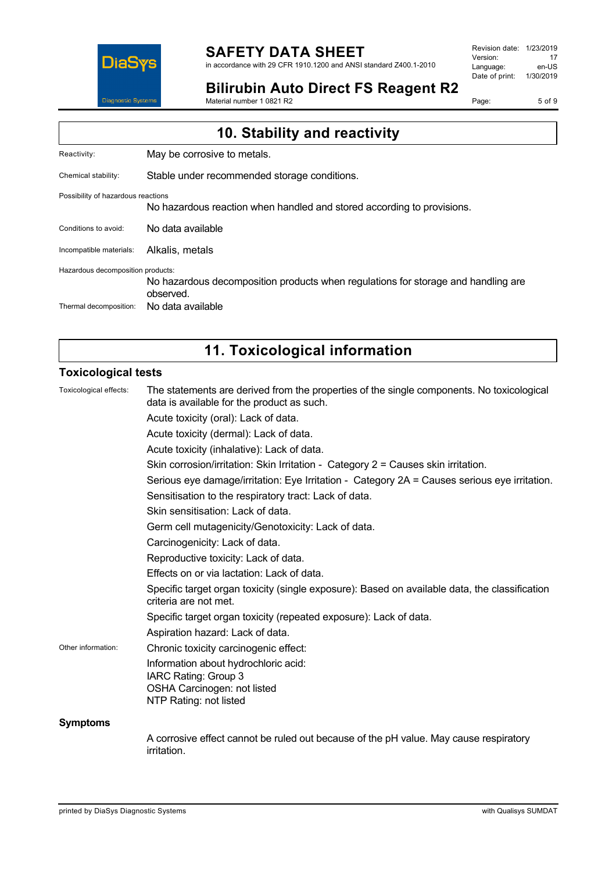

# **SAFETY DATA SHEET**

in accordance with 29 CFR 1910.1200 and ANSI standard Z400.1-2010

Revision date: 1/23/2019 Version: 17<br>
Language: en-US Language: Date of print: 1/30/2019

**Bilirubin Auto Direct FS Reagent R2**

Material number 1 0821 R2

Page: 5 of 9

| 10. Stability and reactivity       |                                                                                                |  |
|------------------------------------|------------------------------------------------------------------------------------------------|--|
| Reactivity:                        | May be corrosive to metals.                                                                    |  |
| Chemical stability:                | Stable under recommended storage conditions.                                                   |  |
| Possibility of hazardous reactions | No hazardous reaction when handled and stored according to provisions.                         |  |
| Conditions to avoid:               | No data available                                                                              |  |
| Incompatible materials:            | Alkalis, metals                                                                                |  |
| Hazardous decomposition products:  | No hazardous decomposition products when regulations for storage and handling are<br>observed. |  |
| Thermal decomposition:             | No data available                                                                              |  |

# **11. Toxicological information**

### **Toxicological tests**

| Toxicological effects: | The statements are derived from the properties of the single components. No toxicological<br>data is available for the product as such. |
|------------------------|-----------------------------------------------------------------------------------------------------------------------------------------|
|                        | Acute toxicity (oral): Lack of data.                                                                                                    |
|                        | Acute toxicity (dermal): Lack of data.                                                                                                  |
|                        | Acute toxicity (inhalative): Lack of data.                                                                                              |
|                        | Skin corrosion/irritation: Skin Irritation - Category 2 = Causes skin irritation.                                                       |
|                        | Serious eye damage/irritation: Eye Irritation - Category 2A = Causes serious eye irritation.                                            |
|                        | Sensitisation to the respiratory tract: Lack of data.                                                                                   |
|                        | Skin sensitisation: Lack of data.                                                                                                       |
|                        | Germ cell mutagenicity/Genotoxicity: Lack of data.                                                                                      |
|                        | Carcinogenicity: Lack of data.                                                                                                          |
|                        | Reproductive toxicity: Lack of data.                                                                                                    |
|                        | Effects on or via lactation: Lack of data.                                                                                              |
|                        | Specific target organ toxicity (single exposure): Based on available data, the classification<br>criteria are not met.                  |
|                        | Specific target organ toxicity (repeated exposure): Lack of data.                                                                       |
|                        | Aspiration hazard: Lack of data.                                                                                                        |
| Other information:     | Chronic toxicity carcinogenic effect:                                                                                                   |
|                        | Information about hydrochloric acid:<br>IARC Rating: Group 3<br>OSHA Carcinogen: not listed<br>NTP Rating: not listed                   |
| <b>Symptoms</b>        |                                                                                                                                         |
|                        | A corrosive effect cannot be ruled out because of the pH value. May cause respiratory<br><i>irritation.</i>                             |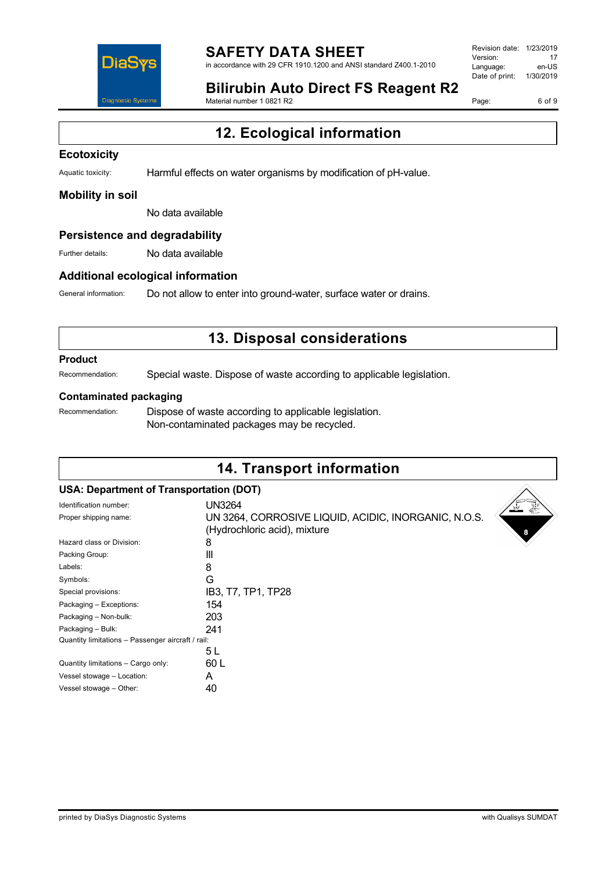

#### **SAFETY DATA SHEET** in accordance with 29 CFR 1910.1200 and ANSI standard Z400.1-2010

Revision date: 1/23/2019 Version: 17<br>Language: en-LIS Language: Date of print: 1/30/2019

## **Bilirubin Auto Direct FS Reagent R2**

Material number 1 0821 R2

Page: 6 of 9

# **12. Ecological information**

### **Ecotoxicity**

Aquatic toxicity: Harmful effects on water organisms by modification of pH-value.

### **Mobility in soil**

No data available

### **Persistence and degradability**

Further details: No data available

### **Additional ecological information**

General information: Do not allow to enter into ground-water, surface water or drains.

## **13. Disposal considerations**

#### **Product**

Recommendation: Special waste. Dispose of waste according to applicable legislation.

### **Contaminated packaging**

Recommendation: Dispose of waste according to applicable legislation. Non-contaminated packages may be recycled.

## **14. Transport information**

### **USA: Department of Transportation (DOT)**

| Identification number:                            | UN3264                                               |
|---------------------------------------------------|------------------------------------------------------|
| Proper shipping name:                             | UN 3264, CORROSIVE LIQUID, ACIDIC, INORGANIC, N.O.S. |
|                                                   | (Hydrochloric acid), mixture                         |
| Hazard class or Division:                         | 8                                                    |
| Packing Group:                                    | Ш                                                    |
| Labels:                                           | 8                                                    |
| Symbols:                                          | G                                                    |
| Special provisions:                               | IB3, T7, TP1, TP28                                   |
| Packaging - Exceptions:                           | 154                                                  |
| Packaging - Non-bulk:                             | 203                                                  |
| Packaging - Bulk:                                 | 241                                                  |
| Quantity limitations - Passenger aircraft / rail: |                                                      |
|                                                   | 5 L                                                  |
| Quantity limitations - Cargo only:                | 60 L                                                 |
| Vessel stowage - Location:                        | А                                                    |
| Vessel stowage - Other:                           | 40                                                   |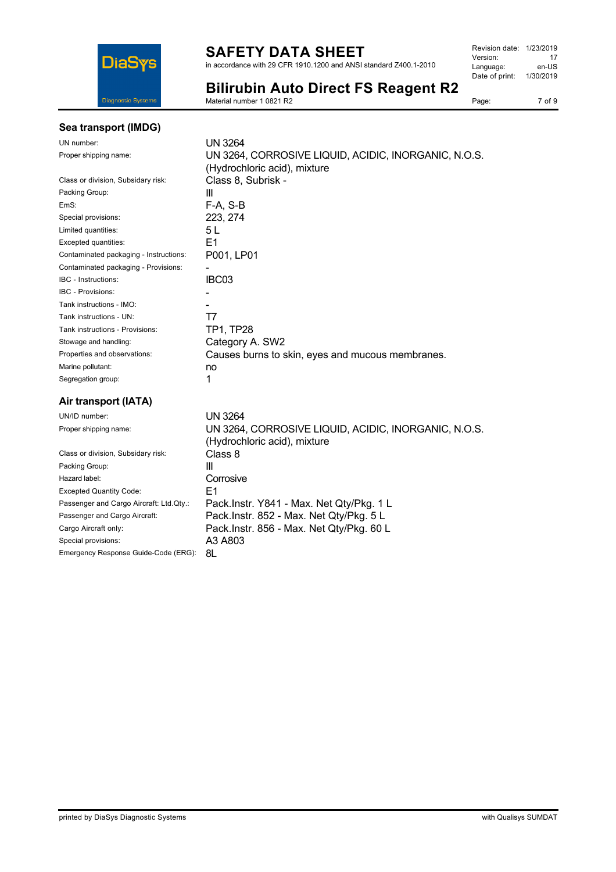

## **SAFETY DATA SHEET**

in accordance with 29 CFR 1910.1200 and ANSI standard Z400.1-2010

| Revision date: 1/23/2019 |           |
|--------------------------|-----------|
| Version:                 | 17        |
| Language:                | en-US     |
| Date of print:           | 1/30/2019 |
|                          |           |

**Bilirubin Auto Direct FS Reagent R2**

Material number 1 0821 R2

### Page: 7 of 9

| Sea transport (IMDG) |  |
|----------------------|--|
|                      |  |

UN number:

| UN number:                             | UN 3264                                                                             |
|----------------------------------------|-------------------------------------------------------------------------------------|
| Proper shipping name:                  | UN 3264, CORROSIVE LIQUID, ACIDIC, INORGANIC, N.O.S.                                |
|                                        | (Hydrochloric acid), mixture                                                        |
| Class or division, Subsidary risk:     | Class 8, Subrisk -                                                                  |
| Packing Group:                         | Ш                                                                                   |
| EmS:                                   | F-A, S-B                                                                            |
| Special provisions:                    | 223, 274                                                                            |
| Limited quantities:                    | 5 L                                                                                 |
| Excepted quantities:                   | E1                                                                                  |
| Contaminated packaging - Instructions: | P001, LP01                                                                          |
| Contaminated packaging - Provisions:   |                                                                                     |
| IBC - Instructions:                    | IBC03                                                                               |
| <b>IBC - Provisions:</b>               |                                                                                     |
| Tank instructions - IMO:               |                                                                                     |
| Tank instructions - UN:                | T7                                                                                  |
| Tank instructions - Provisions:        | TP1, TP28                                                                           |
| Stowage and handling:                  | Category A. SW2                                                                     |
| Properties and observations:           | Causes burns to skin, eyes and mucous membranes.                                    |
| Marine pollutant:                      | no                                                                                  |
| Segregation group:                     | 1                                                                                   |
| Air transport (IATA)                   |                                                                                     |
| UN/ID number:                          | <b>UN 3264</b>                                                                      |
| Proper shipping name:                  | UN 3264, CORROSIVE LIQUID, ACIDIC, INORGANIC, N.O.S.<br>(Hydrochloric acid) mixture |

| UN/ID number:                           | UN 3264                                            |
|-----------------------------------------|----------------------------------------------------|
| Proper shipping name:                   | UN 3264, CORROSIVE LIQUID, ACIDIC, INORGANIC, N.C. |
|                                         | (Hydrochloric acid), mixture                       |
| Class or division, Subsidary risk:      | Class 8                                            |
| Packing Group:                          | Ш                                                  |
| Hazard label:                           | Corrosive                                          |
| <b>Excepted Quantity Code:</b>          | E1                                                 |
| Passenger and Cargo Aircraft: Ltd.Qty.: | Pack.Instr. Y841 - Max. Net Qty/Pkg. 1 L           |
| Passenger and Cargo Aircraft:           | Pack.Instr. 852 - Max. Net Qty/Pkg. 5 L            |
| Cargo Aircraft only:                    | Pack.Instr. 856 - Max. Net Qty/Pkg. 60 L           |
| Special provisions:                     | A3 A803                                            |

Emergency Response Guide-Code (ERG): 8L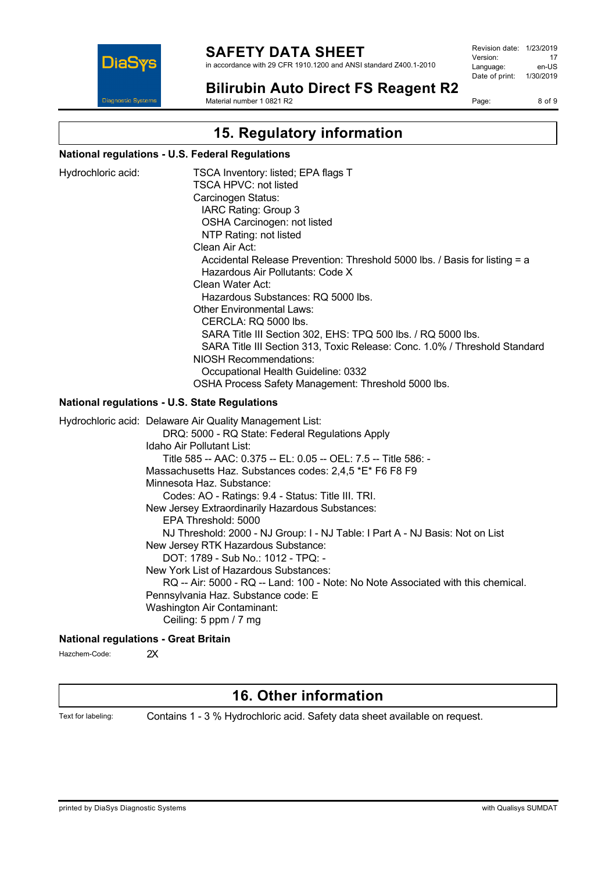

in accordance with 29 CFR 1910.1200 and ANSI standard Z400.1-2010

Revision date: 1/23/2019 Version: 17<br>
Language: en-US Language: Date of print: 1/30/2019

**Bilirubin Auto Direct FS Reagent R2** Material number 1 0821 R2

Page: 8 of 9

# **15. Regulatory information**

### **National regulations - U.S. Federal Regulations**

| Hydrochloric acid: | TSCA Inventory: listed; EPA flags T<br><b>TSCA HPVC: not listed</b><br>Carcinogen Status:<br>IARC Rating: Group 3<br>OSHA Carcinogen: not listed<br>NTP Rating: not listed<br>Clean Air Act:<br>Accidental Release Prevention: Threshold 5000 lbs. / Basis for listing = a<br>Hazardous Air Pollutants: Code X<br>Clean Water Act:<br>Hazardous Substances: RQ 5000 lbs.<br><b>Other Environmental Laws:</b><br>CERCLA: RQ 5000 lbs.<br>SARA Title III Section 302, EHS: TPQ 500 lbs. / RQ 5000 lbs.<br>SARA Title III Section 313, Toxic Release: Conc. 1.0% / Threshold Standard<br><b>NIOSH Recommendations:</b><br>Occupational Health Guideline: 0332<br>OSHA Process Safety Management: Threshold 5000 lbs.                                                                                                               |
|--------------------|---------------------------------------------------------------------------------------------------------------------------------------------------------------------------------------------------------------------------------------------------------------------------------------------------------------------------------------------------------------------------------------------------------------------------------------------------------------------------------------------------------------------------------------------------------------------------------------------------------------------------------------------------------------------------------------------------------------------------------------------------------------------------------------------------------------------------------|
|                    | <b>National regulations - U.S. State Regulations</b>                                                                                                                                                                                                                                                                                                                                                                                                                                                                                                                                                                                                                                                                                                                                                                            |
|                    | Hydrochloric acid: Delaware Air Quality Management List:<br>DRQ: 5000 - RQ State: Federal Regulations Apply<br>Idaho Air Pollutant List:<br>Title 585 -- AAC: 0.375 -- EL: 0.05 -- OEL: 7.5 -- Title 586: -<br>Massachusetts Haz. Substances codes: 2,4,5 *E* F6 F8 F9<br>Minnesota Haz. Substance:<br>Codes: AO - Ratings: 9.4 - Status: Title III. TRI.<br>New Jersey Extraordinarily Hazardous Substances:<br>EPA Threshold: 5000<br>NJ Threshold: 2000 - NJ Group: I - NJ Table: I Part A - NJ Basis: Not on List<br>New Jersey RTK Hazardous Substance:<br>DOT: 1789 - Sub No.: 1012 - TPQ: -<br>New York List of Hazardous Substances:<br>RQ -- Air: 5000 - RQ -- Land: 100 - Note: No Note Associated with this chemical.<br>Pennsylvania Haz. Substance code: E<br>Washington Air Contaminant:<br>Ceiling: 5 ppm / 7 mg |
|                    | <b>National regulations - Great Britain</b>                                                                                                                                                                                                                                                                                                                                                                                                                                                                                                                                                                                                                                                                                                                                                                                     |

Hazchem-Code: 2X

## **16. Other information**

Text for labeling: Contains 1 - 3 % Hydrochloric acid. Safety data sheet available on request.